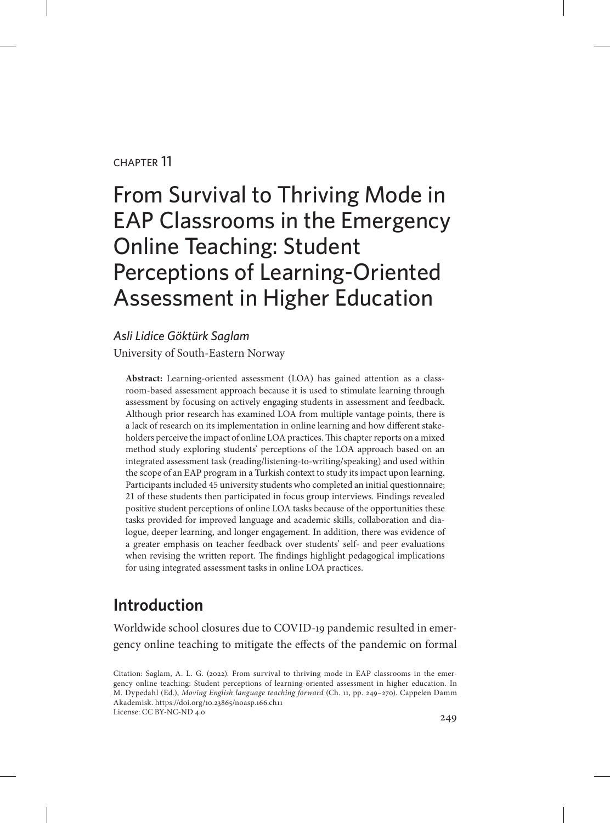#### chapter 11

# From Survival to Thriving Mode in EAP Classrooms in the Emergency Online Teaching: Student Perceptions of Learning-Oriented Assessment in Higher Education

#### *Asli Lidice Göktürk Saglam*

University of South-Eastern Norway

**Abstract:** Learning-oriented assessment (LOA) has gained attention as a classroom-based assessment approach because it is used to stimulate learning through assessment by focusing on actively engaging students in assessment and feedback. Although prior research has examined LOA from multiple vantage points, there is a lack of research on its implementation in online learning and how different stakeholders perceive the impact of online LOA practices. This chapter reports on a mixed method study exploring students' perceptions of the LOA approach based on an integrated assessment task (reading/listening-to-writing/speaking) and used within the scope of an EAP program in a Turkish context to study its impact upon learning. Participants included 45 university students who completed an initial questionnaire; 21 of these students then participated in focus group interviews. Findings revealed positive student perceptions of online LOA tasks because of the opportunities these tasks provided for improved language and academic skills, collaboration and dialogue, deeper learning, and longer engagement. In addition, there was evidence of a greater emphasis on teacher feedback over students' self- and peer evaluations when revising the written report. The findings highlight pedagogical implications for using integrated assessment tasks in online LOA practices.

# **Introduction**

Worldwide school closures due to COVID-19 pandemic resulted in emergency online teaching to mitigate the effects of the pandemic on formal

Citation: Saglam, A. L. G. (2022). From survival to thriving mode in EAP classrooms in the emergency online teaching: Student perceptions of learning-oriented assessment in higher education. In M. Dypedahl (Ed.), *Moving English language teaching forward* (Ch. 11, pp. 249–270). Cappelen Damm Akademisk. https://doi.org/10.23865/noasp.166.ch11 License: CC BY-NC-ND 4.0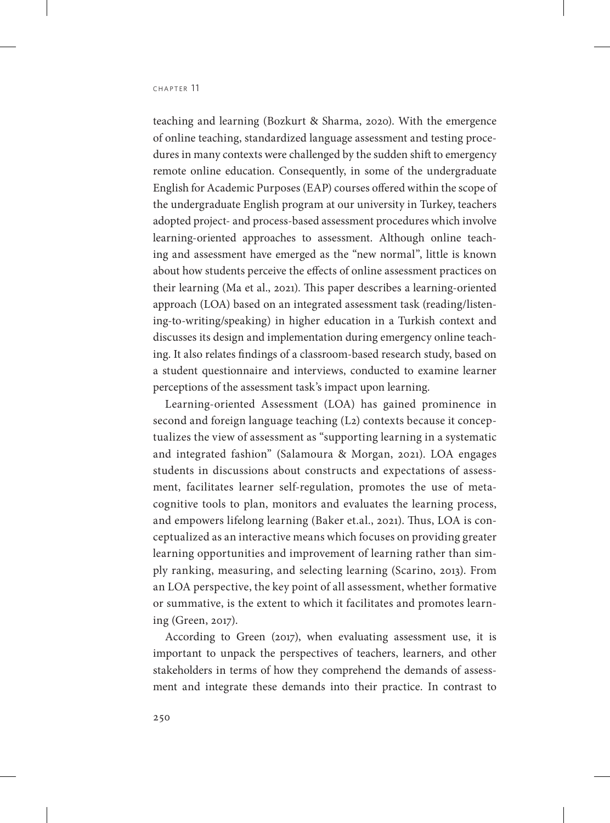teaching and learning (Bozkurt & Sharma, 2020). With the emergence of online teaching, standardized language assessment and testing procedures in many contexts were challenged by the sudden shift to emergency remote online education. Consequently, in some of the undergraduate English for Academic Purposes (EAP) courses offered within the scope of the undergraduate English program at our university in Turkey, teachers adopted project- and process-based assessment procedures which involve learning-oriented approaches to assessment. Although online teaching and assessment have emerged as the "new normal", little is known about how students perceive the effects of online assessment practices on their learning (Ma et al., 2021). This paper describes a learning-oriented approach (LOA) based on an integrated assessment task (reading/listening-to-writing/speaking) in higher education in a Turkish context and discusses its design and implementation during emergency online teaching. It also relates findings of a classroom-based research study, based on a student questionnaire and interviews, conducted to examine learner perceptions of the assessment task's impact upon learning.

Learning-oriented Assessment (LOA) has gained prominence in second and foreign language teaching (L2) contexts because it conceptualizes the view of assessment as "supporting learning in a systematic and integrated fashion" (Salamoura & Morgan, 2021). LOA engages students in discussions about constructs and expectations of assessment, facilitates learner self-regulation, promotes the use of metacognitive tools to plan, monitors and evaluates the learning process, and empowers lifelong learning (Baker et.al., 2021). Thus, LOA is conceptualized as an interactive means which focuses on providing greater learning opportunities and improvement of learning rather than simply ranking, measuring, and selecting learning (Scarino, 2013). From an LOA perspective, the key point of all assessment, whether formative or summative, is the extent to which it facilitates and promotes learning (Green, 2017).

According to Green (2017), when evaluating assessment use, it is important to unpack the perspectives of teachers, learners, and other stakeholders in terms of how they comprehend the demands of assessment and integrate these demands into their practice. In contrast to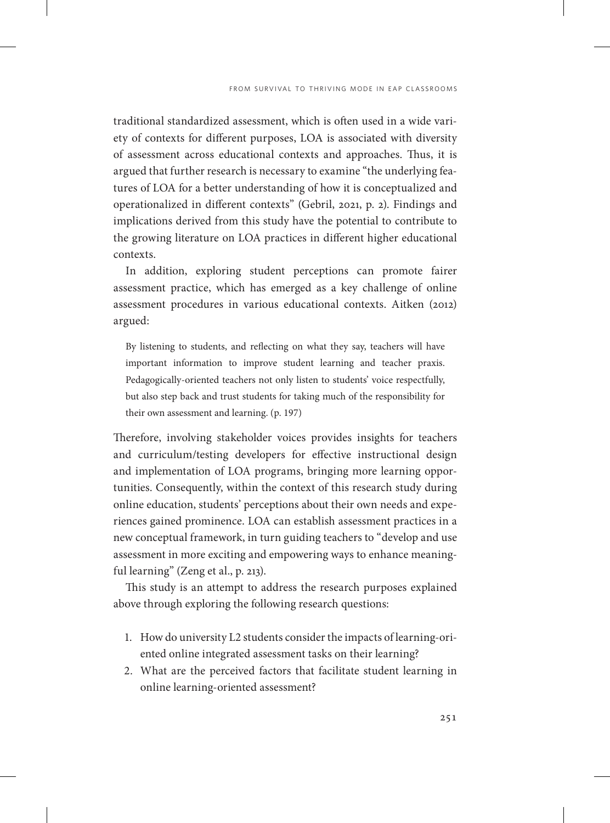traditional standardized assessment, which is often used in a wide variety of contexts for different purposes, LOA is associated with diversity of assessment across educational contexts and approaches. Thus, it is argued that further research is necessary to examine "the underlying features of LOA for a better understanding of how it is conceptualized and operationalized in different contexts" (Gebril, 2021, p. 2). Findings and implications derived from this study have the potential to contribute to the growing literature on LOA practices in different higher educational contexts.

In addition, exploring student perceptions can promote fairer assessment practice, which has emerged as a key challenge of online assessment procedures in various educational contexts. Aitken (2012) argued:

By listening to students, and reflecting on what they say, teachers will have important information to improve student learning and teacher praxis. Pedagogically-oriented teachers not only listen to students' voice respectfully, but also step back and trust students for taking much of the responsibility for their own assessment and learning. (p. 197)

Therefore, involving stakeholder voices provides insights for teachers and curriculum/testing developers for effective instructional design and implementation of LOA programs, bringing more learning opportunities. Consequently, within the context of this research study during online education, students' perceptions about their own needs and experiences gained prominence. LOA can establish assessment practices in a new conceptual framework, in turn guiding teachers to "develop and use assessment in more exciting and empowering ways to enhance meaningful learning" (Zeng et al., p. 213).

This study is an attempt to address the research purposes explained above through exploring the following research questions:

- 1. How do university L2 students consider the impacts of learning-oriented online integrated assessment tasks on their learning?
- 2. What are the perceived factors that facilitate student learning in online learning-oriented assessment?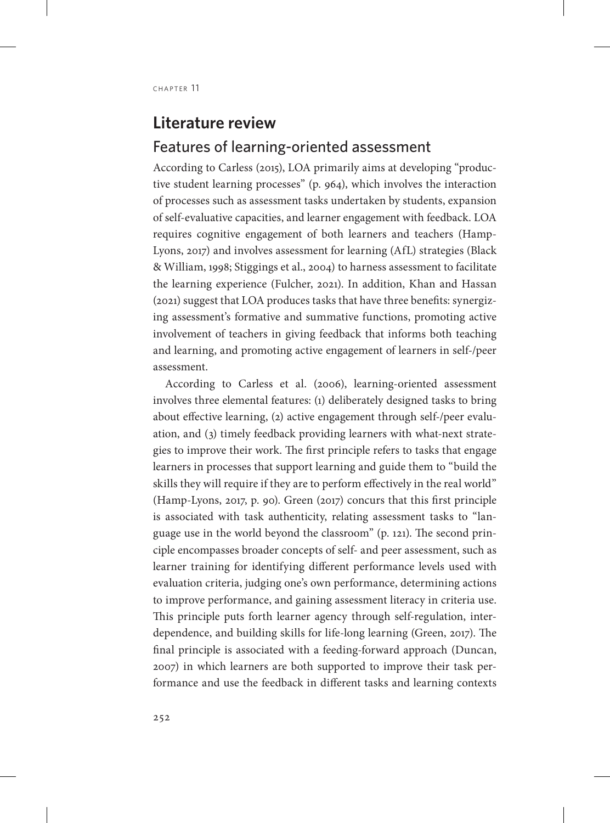# **Literature review**

## Features of learning-oriented assessment

According to Carless (2015), LOA primarily aims at developing "productive student learning processes" (p. 964), which involves the interaction of processes such as assessment tasks undertaken by students, expansion of self-evaluative capacities, and learner engagement with feedback. LOA requires cognitive engagement of both learners and teachers (Hamp-Lyons, 2017) and involves assessment for learning (AfL) strategies (Black & William, 1998; Stiggings et al., 2004) to harness assessment to facilitate the learning experience (Fulcher, 2021). In addition, Khan and Hassan (2021) suggest that LOA produces tasks that have three benefits: synergizing assessment's formative and summative functions, promoting active involvement of teachers in giving feedback that informs both teaching and learning, and promoting active engagement of learners in self-/peer assessment.

According to Carless et al. (2006), learning-oriented assessment involves three elemental features: (1) deliberately designed tasks to bring about effective learning, (2) active engagement through self-/peer evaluation, and (3) timely feedback providing learners with what-next strategies to improve their work. The first principle refers to tasks that engage learners in processes that support learning and guide them to "build the skills they will require if they are to perform effectively in the real world" (Hamp-Lyons, 2017, p. 90). Green (2017) concurs that this first principle is associated with task authenticity, relating assessment tasks to "language use in the world beyond the classroom" (p. 121). The second principle encompasses broader concepts of self- and peer assessment, such as learner training for identifying different performance levels used with evaluation criteria, judging one's own performance, determining actions to improve performance, and gaining assessment literacy in criteria use. This principle puts forth learner agency through self-regulation, interdependence, and building skills for life-long learning (Green, 2017). The final principle is associated with a feeding-forward approach (Duncan, 2007) in which learners are both supported to improve their task performance and use the feedback in different tasks and learning contexts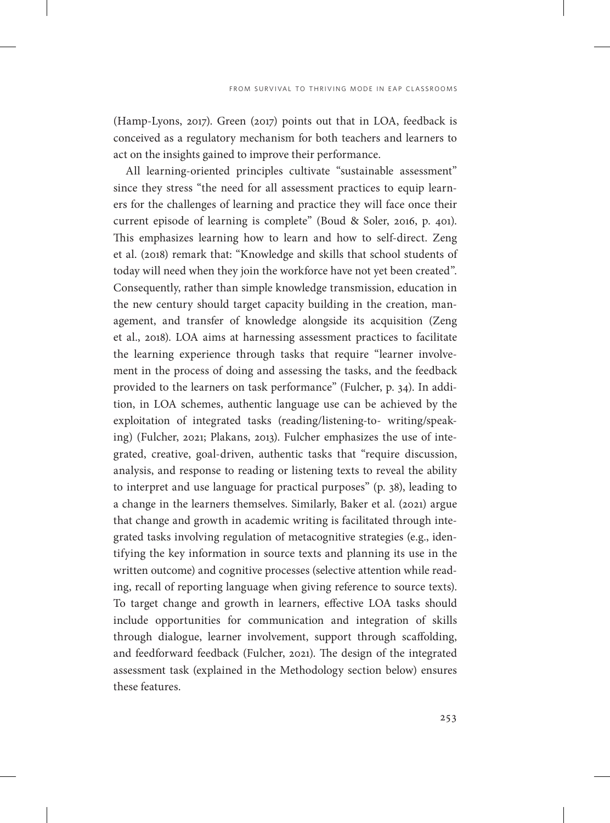(Hamp-Lyons, 2017). Green (2017) points out that in LOA, feedback is conceived as a regulatory mechanism for both teachers and learners to act on the insights gained to improve their performance.

All learning-oriented principles cultivate "sustainable assessment" since they stress "the need for all assessment practices to equip learners for the challenges of learning and practice they will face once their current episode of learning is complete" (Boud & Soler, 2016, p. 401). This emphasizes learning how to learn and how to self-direct. Zeng et al. (2018) remark that: "Knowledge and skills that school students of today will need when they join the workforce have not yet been created". Consequently, rather than simple knowledge transmission, education in the new century should target capacity building in the creation, management, and transfer of knowledge alongside its acquisition (Zeng et al., 2018). LOA aims at harnessing assessment practices to facilitate the learning experience through tasks that require "learner involvement in the process of doing and assessing the tasks, and the feedback provided to the learners on task performance" (Fulcher, p. 34). In addition, in LOA schemes, authentic language use can be achieved by the exploitation of integrated tasks (reading/listening-to- writing/speaking) (Fulcher, 2021; Plakans, 2013). Fulcher emphasizes the use of integrated, creative, goal-driven, authentic tasks that "require discussion, analysis, and response to reading or listening texts to reveal the ability to interpret and use language for practical purposes" (p. 38), leading to a change in the learners themselves. Similarly, Baker et al. (2021) argue that change and growth in academic writing is facilitated through integrated tasks involving regulation of metacognitive strategies (e.g., identifying the key information in source texts and planning its use in the written outcome) and cognitive processes (selective attention while reading, recall of reporting language when giving reference to source texts). To target change and growth in learners, effective LOA tasks should include opportunities for communication and integration of skills through dialogue, learner involvement, support through scaffolding, and feedforward feedback (Fulcher, 2021). The design of the integrated assessment task (explained in the Methodology section below) ensures these features.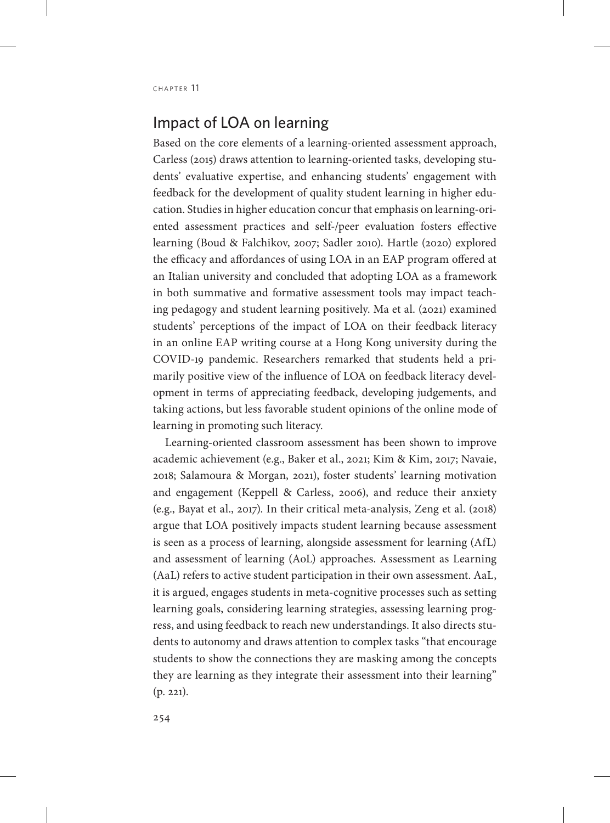## Impact of LOA on learning

Based on the core elements of a learning-oriented assessment approach, Carless (2015) draws attention to learning-oriented tasks, developing students' evaluative expertise, and enhancing students' engagement with feedback for the development of quality student learning in higher education. Studies in higher education concur that emphasis on learning-oriented assessment practices and self-/peer evaluation fosters effective learning (Boud & Falchikov, 2007; Sadler 2010). Hartle (2020) explored the efficacy and affordances of using LOA in an EAP program offered at an Italian university and concluded that adopting LOA as a framework in both summative and formative assessment tools may impact teaching pedagogy and student learning positively. Ma et al. (2021) examined students' perceptions of the impact of LOA on their feedback literacy in an online EAP writing course at a Hong Kong university during the COVID-19 pandemic. Researchers remarked that students held a primarily positive view of the influence of LOA on feedback literacy development in terms of appreciating feedback, developing judgements, and taking actions, but less favorable student opinions of the online mode of learning in promoting such literacy.

Learning-oriented classroom assessment has been shown to improve academic achievement (e.g., Baker et al., 2021; Kim & Kim, 2017; Navaie, 2018; Salamoura & Morgan, 2021), foster students' learning motivation and engagement (Keppell & Carless, 2006), and reduce their anxiety (e.g., Bayat et al., 2017). In their critical meta-analysis, Zeng et al. (2018) argue that LOA positively impacts student learning because assessment is seen as a process of learning, alongside assessment for learning (AfL) and assessment of learning (AoL) approaches. Assessment as Learning (AaL) refers to active student participation in their own assessment. AaL, it is argued, engages students in meta-cognitive processes such as setting learning goals, considering learning strategies, assessing learning progress, and using feedback to reach new understandings. It also directs students to autonomy and draws attention to complex tasks "that encourage students to show the connections they are masking among the concepts they are learning as they integrate their assessment into their learning" (p. 221).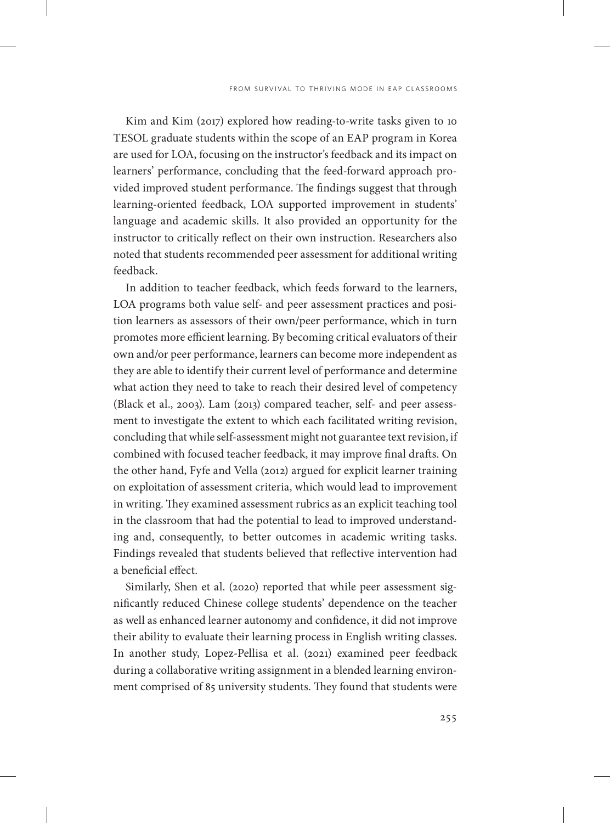Kim and Kim (2017) explored how reading-to-write tasks given to 10 TESOL graduate students within the scope of an EAP program in Korea are used for LOA, focusing on the instructor's feedback and its impact on learners' performance, concluding that the feed-forward approach provided improved student performance. The findings suggest that through learning-oriented feedback, LOA supported improvement in students' language and academic skills. It also provided an opportunity for the instructor to critically reflect on their own instruction. Researchers also noted that students recommended peer assessment for additional writing feedback.

In addition to teacher feedback, which feeds forward to the learners, LOA programs both value self- and peer assessment practices and position learners as assessors of their own/peer performance, which in turn promotes more efficient learning. By becoming critical evaluators of their own and/or peer performance, learners can become more independent as they are able to identify their current level of performance and determine what action they need to take to reach their desired level of competency (Black et al., 2003). Lam (2013) compared teacher, self- and peer assessment to investigate the extent to which each facilitated writing revision, concluding that while self-assessment might not guarantee text revision, if combined with focused teacher feedback, it may improve final drafts. On the other hand, Fyfe and Vella (2012) argued for explicit learner training on exploitation of assessment criteria, which would lead to improvement in writing. They examined assessment rubrics as an explicit teaching tool in the classroom that had the potential to lead to improved understanding and, consequently, to better outcomes in academic writing tasks. Findings revealed that students believed that reflective intervention had a beneficial effect.

Similarly, Shen et al. (2020) reported that while peer assessment significantly reduced Chinese college students' dependence on the teacher as well as enhanced learner autonomy and confidence, it did not improve their ability to evaluate their learning process in English writing classes. In another study, Lopez-Pellisa et al. (2021) examined peer feedback during a collaborative writing assignment in a blended learning environment comprised of 85 university students. They found that students were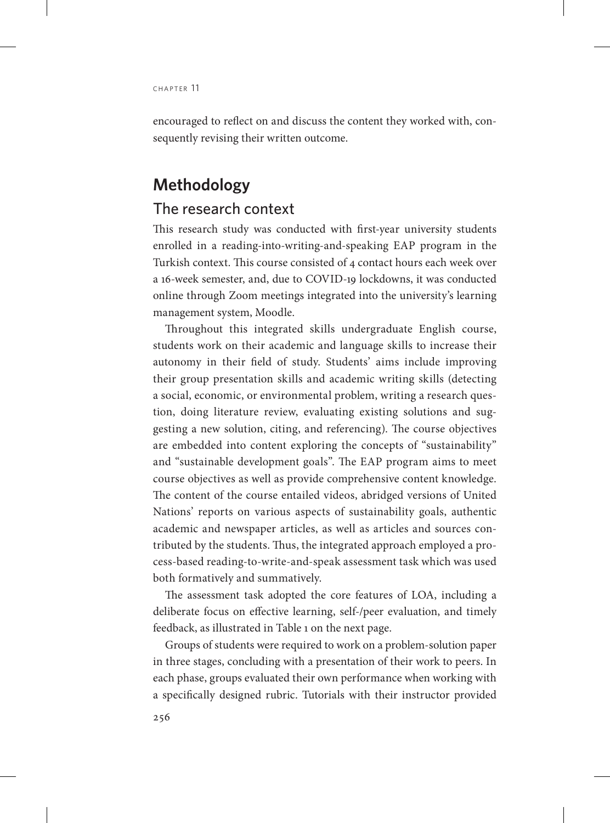encouraged to reflect on and discuss the content they worked with, consequently revising their written outcome.

# **Methodology**

#### The research context

This research study was conducted with first-year university students enrolled in a reading-into-writing-and-speaking EAP program in the Turkish context. This course consisted of 4 contact hours each week over a 16-week semester, and, due to COVID-19 lockdowns, it was conducted online through Zoom meetings integrated into the university's learning management system, Moodle.

Throughout this integrated skills undergraduate English course, students work on their academic and language skills to increase their autonomy in their field of study. Students' aims include improving their group presentation skills and academic writing skills (detecting a social, economic, or environmental problem, writing a research question, doing literature review, evaluating existing solutions and suggesting a new solution, citing, and referencing). The course objectives are embedded into content exploring the concepts of "sustainability" and "sustainable development goals". The EAP program aims to meet course objectives as well as provide comprehensive content knowledge. The content of the course entailed videos, abridged versions of United Nations' reports on various aspects of sustainability goals, authentic academic and newspaper articles, as well as articles and sources contributed by the students. Thus, the integrated approach employed a process-based reading-to-write-and-speak assessment task which was used both formatively and summatively.

The assessment task adopted the core features of LOA, including a deliberate focus on effective learning, self-/peer evaluation, and timely feedback, as illustrated in Table 1 on the next page.

Groups of students were required to work on a problem-solution paper in three stages, concluding with a presentation of their work to peers. In each phase, groups evaluated their own performance when working with a specifically designed rubric. Tutorials with their instructor provided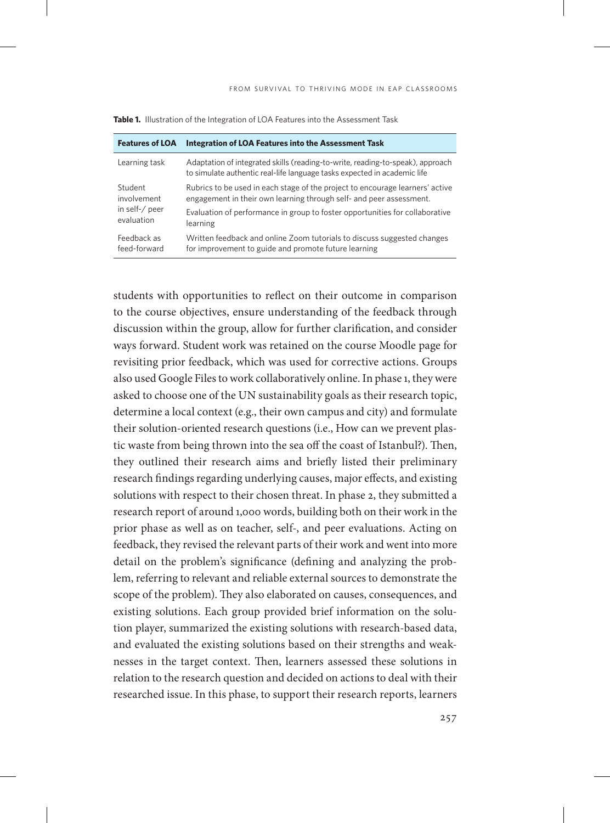| <b>Features of LOA</b> | <b>Integration of LOA Features into the Assessment Task</b>                                                                                                |
|------------------------|------------------------------------------------------------------------------------------------------------------------------------------------------------|
| Learning task          | Adaptation of integrated skills (reading-to-write, reading-to-speak), approach<br>to simulate authentic real-life language tasks expected in academic life |
| Student                | Rubrics to be used in each stage of the project to encourage learners' active                                                                              |
| involvement            | engagement in their own learning through self- and peer assessment.                                                                                        |
| in self-/ peer         | Evaluation of performance in group to foster opportunities for collaborative                                                                               |
| evaluation             | learning                                                                                                                                                   |
| Feedback as            | Written feedback and online Zoom tutorials to discuss suggested changes                                                                                    |
| feed-forward           | for improvement to guide and promote future learning                                                                                                       |

Table 1. Illustration of the Integration of LOA Features into the Assessment Task

students with opportunities to reflect on their outcome in comparison to the course objectives, ensure understanding of the feedback through discussion within the group, allow for further clarification, and consider ways forward. Student work was retained on the course Moodle page for revisiting prior feedback, which was used for corrective actions. Groups also used Google Files to work collaboratively online. In phase 1, they were asked to choose one of the UN sustainability goals as their research topic, determine a local context (e.g., their own campus and city) and formulate their solution-oriented research questions (i.e., How can we prevent plastic waste from being thrown into the sea off the coast of Istanbul?). Then, they outlined their research aims and briefly listed their preliminary research findings regarding underlying causes, major effects, and existing solutions with respect to their chosen threat. In phase 2, they submitted a research report of around 1,000 words, building both on their work in the prior phase as well as on teacher, self-, and peer evaluations. Acting on feedback, they revised the relevant parts of their work and went into more detail on the problem's significance (defining and analyzing the problem, referring to relevant and reliable external sources to demonstrate the scope of the problem). They also elaborated on causes, consequences, and existing solutions. Each group provided brief information on the solution player, summarized the existing solutions with research-based data, and evaluated the existing solutions based on their strengths and weaknesses in the target context. Then, learners assessed these solutions in relation to the research question and decided on actions to deal with their researched issue. In this phase, to support their research reports, learners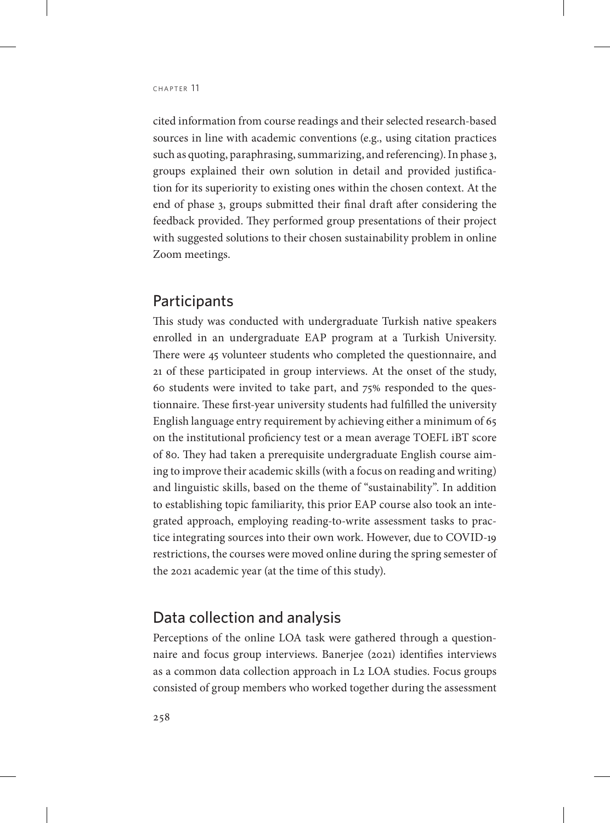cited information from course readings and their selected research-based sources in line with academic conventions (e.g., using citation practices such as quoting, paraphrasing, summarizing, and referencing). In phase 3, groups explained their own solution in detail and provided justification for its superiority to existing ones within the chosen context. At the end of phase 3, groups submitted their final draft after considering the feedback provided. They performed group presentations of their project with suggested solutions to their chosen sustainability problem in online Zoom meetings.

#### **Participants**

This study was conducted with undergraduate Turkish native speakers enrolled in an undergraduate EAP program at a Turkish University. There were 45 volunteer students who completed the questionnaire, and 21 of these participated in group interviews. At the onset of the study, 60 students were invited to take part, and 75% responded to the questionnaire. These first-year university students had fulfilled the university English language entry requirement by achieving either a minimum of 65 on the institutional proficiency test or a mean average TOEFL iBT score of 80. They had taken a prerequisite undergraduate English course aiming to improve their academic skills (with a focus on reading and writing) and linguistic skills, based on the theme of "sustainability". In addition to establishing topic familiarity, this prior EAP course also took an integrated approach, employing reading-to-write assessment tasks to practice integrating sources into their own work. However, due to COVID-19 restrictions, the courses were moved online during the spring semester of the 2021 academic year (at the time of this study).

## Data collection and analysis

Perceptions of the online LOA task were gathered through a questionnaire and focus group interviews. Banerjee (2021) identifies interviews as a common data collection approach in L2 LOA studies. Focus groups consisted of group members who worked together during the assessment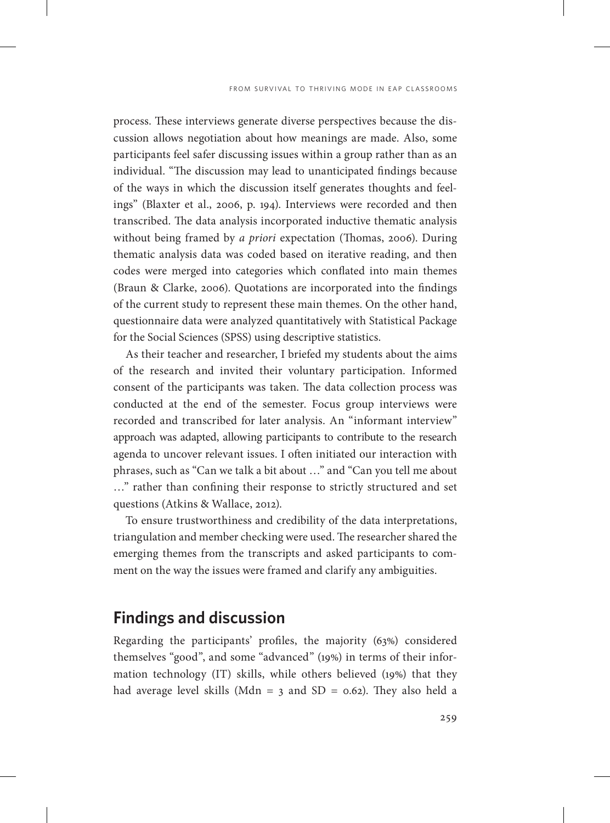process. These interviews generate diverse perspectives because the discussion allows negotiation about how meanings are made. Also, some participants feel safer discussing issues within a group rather than as an individual. "The discussion may lead to unanticipated findings because of the ways in which the discussion itself generates thoughts and feelings" (Blaxter et al., 2006, p. 194). Interviews were recorded and then transcribed. The data analysis incorporated inductive thematic analysis without being framed by *a priori* expectation (Thomas, 2006). During thematic analysis data was coded based on iterative reading, and then codes were merged into categories which conflated into main themes (Braun & Clarke, 2006). Quotations are incorporated into the findings of the current study to represent these main themes. On the other hand, questionnaire data were analyzed quantitatively with Statistical Package for the Social Sciences (SPSS) using descriptive statistics.

As their teacher and researcher, I briefed my students about the aims of the research and invited their voluntary participation. Informed consent of the participants was taken. The data collection process was conducted at the end of the semester. Focus group interviews were recorded and transcribed for later analysis. An "informant interview" approach was adapted, allowing participants to contribute to the research agenda to uncover relevant issues. I often initiated our interaction with phrases, such as "Can we talk a bit about …" and "Can you tell me about …" rather than confining their response to strictly structured and set questions (Atkins & Wallace, 2012).

To ensure trustworthiness and credibility of the data interpretations, triangulation and member checking were used. The researcher shared the emerging themes from the transcripts and asked participants to comment on the way the issues were framed and clarify any ambiguities.

## **Findings and discussion**

Regarding the participants' profiles, the majority (63%) considered themselves "good", and some "advanced" (19%) in terms of their information technology (IT) skills, while others believed (19%) that they had average level skills (Mdn = 3 and SD =  $0.62$ ). They also held a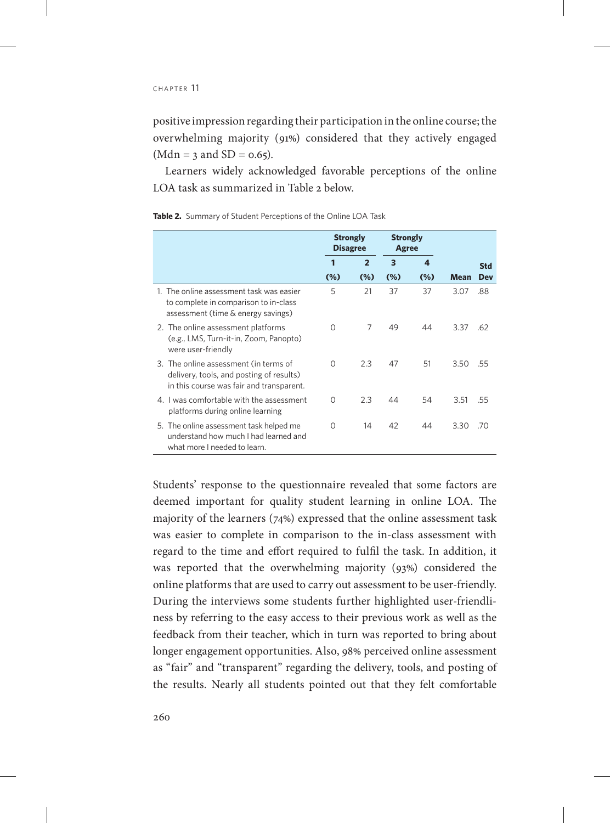positive impression regarding their participation in the online course; the overwhelming majority (91%) considered that they actively engaged  $(Mdn = 3$  and SD = 0.65).

Learners widely acknowledged favorable perceptions of the online LOA task as summarized in Table 2 below.

|                                                                                                                               | <b>Strongly</b><br><b>Disagree</b> |                | <b>Strongly</b><br>Agree |        |      |            |
|-------------------------------------------------------------------------------------------------------------------------------|------------------------------------|----------------|--------------------------|--------|------|------------|
|                                                                                                                               | 1                                  | $\overline{2}$ | 3                        | Δ.     |      | <b>Std</b> |
|                                                                                                                               | $(\%)$                             | (%)            | (%)                      | $(\%)$ | Mean | Dev        |
| 1. The online assessment task was easier<br>to complete in comparison to in-class<br>assessment (time & energy savings)       | 5                                  | 21             | 37                       | 37     | 3.07 | .88        |
| 2. The online assessment platforms<br>(e.g., LMS, Turn-it-in, Zoom, Panopto)<br>were user-friendly                            | ∩                                  | $\overline{7}$ | 49                       | 44     | 3.37 | -62        |
| 3. The online assessment (in terms of<br>delivery, tools, and posting of results)<br>in this course was fair and transparent. | ∩                                  | 2.3            | 47                       | 51     | 3.50 | -55        |
| 4. I was comfortable with the assessment<br>platforms during online learning                                                  | ∩                                  | 2.3            | 44                       | 54     | 3.51 | -55        |
| 5. The online assessment task helped me<br>understand how much I had learned and<br>what more I needed to learn.              | ∩                                  | 14             | 42                       | 44     | 3.30 | -70        |

**Table 2.** Summary of Student Perceptions of the Online LOA Task

Students' response to the questionnaire revealed that some factors are deemed important for quality student learning in online LOA. The majority of the learners (74%) expressed that the online assessment task was easier to complete in comparison to the in-class assessment with regard to the time and effort required to fulfil the task. In addition, it was reported that the overwhelming majority (93%) considered the online platforms that are used to carry out assessment to be user-friendly. During the interviews some students further highlighted user-friendliness by referring to the easy access to their previous work as well as the feedback from their teacher, which in turn was reported to bring about longer engagement opportunities. Also, 98% perceived online assessment as "fair" and "transparent" regarding the delivery, tools, and posting of the results. Nearly all students pointed out that they felt comfortable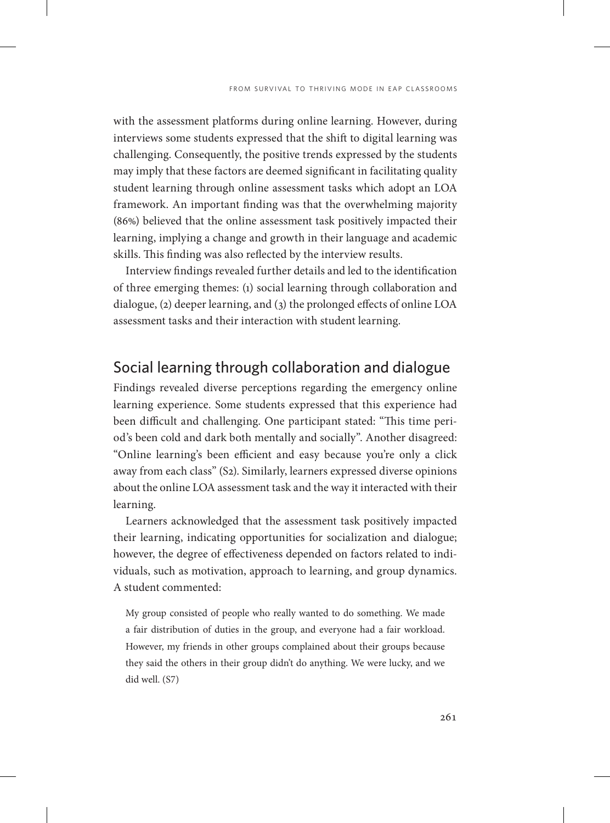with the assessment platforms during online learning. However, during interviews some students expressed that the shift to digital learning was challenging. Consequently, the positive trends expressed by the students may imply that these factors are deemed significant in facilitating quality student learning through online assessment tasks which adopt an LOA framework. An important finding was that the overwhelming majority (86%) believed that the online assessment task positively impacted their learning, implying a change and growth in their language and academic skills. This finding was also reflected by the interview results.

Interview findings revealed further details and led to the identification of three emerging themes: (1) social learning through collaboration and dialogue, (2) deeper learning, and (3) the prolonged effects of online LOA assessment tasks and their interaction with student learning.

## Social learning through collaboration and dialogue

Findings revealed diverse perceptions regarding the emergency online learning experience. Some students expressed that this experience had been difficult and challenging. One participant stated: "This time period's been cold and dark both mentally and socially". Another disagreed: "Online learning's been efficient and easy because you're only a click away from each class" (S2). Similarly, learners expressed diverse opinions about the online LOA assessment task and the way it interacted with their learning.

Learners acknowledged that the assessment task positively impacted their learning, indicating opportunities for socialization and dialogue; however, the degree of effectiveness depended on factors related to individuals, such as motivation, approach to learning, and group dynamics. A student commented:

My group consisted of people who really wanted to do something. We made a fair distribution of duties in the group, and everyone had a fair workload. However, my friends in other groups complained about their groups because they said the others in their group didn't do anything. We were lucky, and we did well. (S7)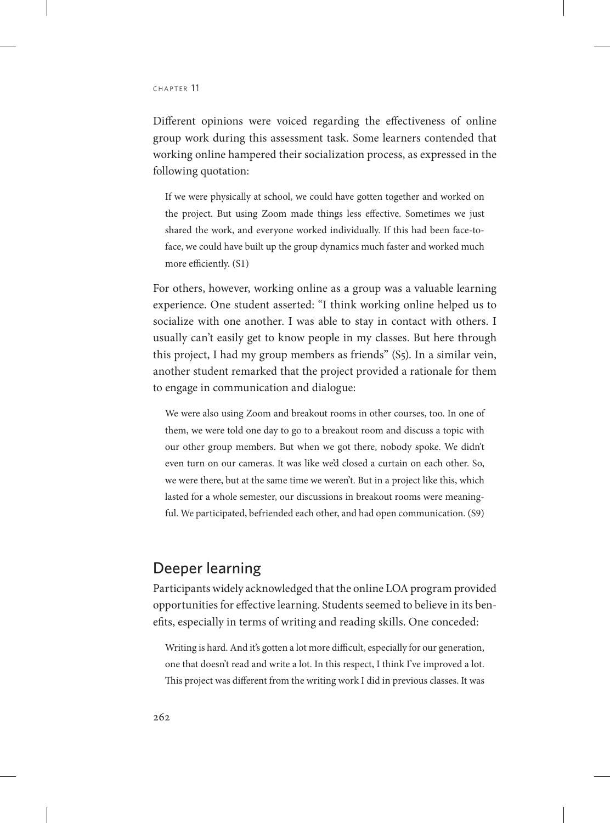Different opinions were voiced regarding the effectiveness of online group work during this assessment task. Some learners contended that working online hampered their socialization process, as expressed in the following quotation:

If we were physically at school, we could have gotten together and worked on the project. But using Zoom made things less effective. Sometimes we just shared the work, and everyone worked individually. If this had been face-toface, we could have built up the group dynamics much faster and worked much more efficiently. (S1)

For others, however, working online as a group was a valuable learning experience. One student asserted: "I think working online helped us to socialize with one another. I was able to stay in contact with others. I usually can't easily get to know people in my classes. But here through this project, I had my group members as friends" (S5). In a similar vein, another student remarked that the project provided a rationale for them to engage in communication and dialogue:

We were also using Zoom and breakout rooms in other courses, too. In one of them, we were told one day to go to a breakout room and discuss a topic with our other group members. But when we got there, nobody spoke. We didn't even turn on our cameras. It was like we'd closed a curtain on each other. So, we were there, but at the same time we weren't. But in a project like this, which lasted for a whole semester, our discussions in breakout rooms were meaningful. We participated, befriended each other, and had open communication. (S9)

## Deeper learning

Participants widely acknowledged that the online LOA program provided opportunities for effective learning. Students seemed to believe in its benefits, especially in terms of writing and reading skills. One conceded:

Writing is hard. And it's gotten a lot more difficult, especially for our generation, one that doesn't read and write a lot. In this respect, I think I've improved a lot. This project was different from the writing work I did in previous classes. It was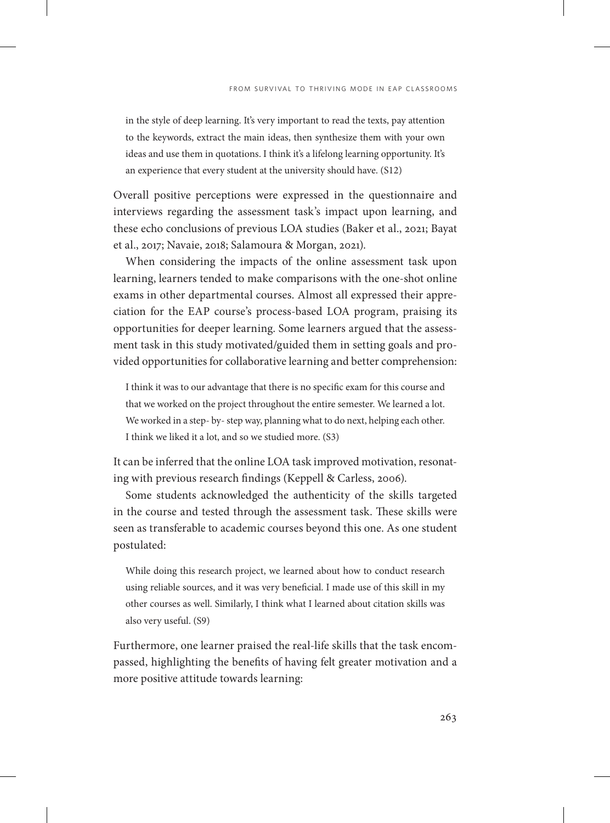in the style of deep learning. It's very important to read the texts, pay attention to the keywords, extract the main ideas, then synthesize them with your own ideas and use them in quotations. I think it's a lifelong learning opportunity. It's an experience that every student at the university should have. (S12)

Overall positive perceptions were expressed in the questionnaire and interviews regarding the assessment task's impact upon learning, and these echo conclusions of previous LOA studies (Baker et al., 2021; Bayat et al., 2017; Navaie, 2018; Salamoura & Morgan, 2021).

When considering the impacts of the online assessment task upon learning, learners tended to make comparisons with the one-shot online exams in other departmental courses. Almost all expressed their appreciation for the EAP course's process-based LOA program, praising its opportunities for deeper learning. Some learners argued that the assessment task in this study motivated/guided them in setting goals and provided opportunities for collaborative learning and better comprehension:

I think it was to our advantage that there is no specific exam for this course and that we worked on the project throughout the entire semester. We learned a lot. We worked in a step- by- step way, planning what to do next, helping each other. I think we liked it a lot, and so we studied more. (S3)

It can be inferred that the online LOA task improved motivation, resonating with previous research findings (Keppell & Carless, 2006).

Some students acknowledged the authenticity of the skills targeted in the course and tested through the assessment task. These skills were seen as transferable to academic courses beyond this one. As one student postulated:

While doing this research project, we learned about how to conduct research using reliable sources, and it was very beneficial. I made use of this skill in my other courses as well. Similarly, I think what I learned about citation skills was also very useful. (S9)

Furthermore, one learner praised the real-life skills that the task encompassed, highlighting the benefits of having felt greater motivation and a more positive attitude towards learning: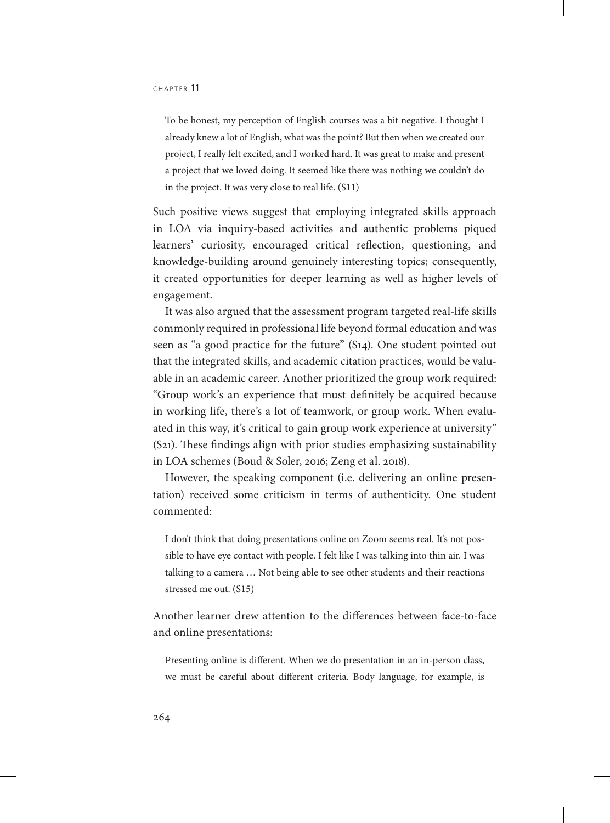To be honest, my perception of English courses was a bit negative. I thought I already knew a lot of English, what was the point? But then when we created our project, I really felt excited, and I worked hard. It was great to make and present a project that we loved doing. It seemed like there was nothing we couldn't do in the project. It was very close to real life. (S11)

Such positive views suggest that employing integrated skills approach in LOA via inquiry-based activities and authentic problems piqued learners' curiosity, encouraged critical reflection, questioning, and knowledge-building around genuinely interesting topics; consequently, it created opportunities for deeper learning as well as higher levels of engagement.

It was also argued that the assessment program targeted real-life skills commonly required in professional life beyond formal education and was seen as "a good practice for the future" (S14). One student pointed out that the integrated skills, and academic citation practices, would be valuable in an academic career. Another prioritized the group work required: "Group work's an experience that must definitely be acquired because in working life, there's a lot of teamwork, or group work. When evaluated in this way, it's critical to gain group work experience at university" (S21). These findings align with prior studies emphasizing sustainability in LOA schemes (Boud & Soler, 2016; Zeng et al. 2018).

However, the speaking component (i.e. delivering an online presentation) received some criticism in terms of authenticity. One student commented:

I don't think that doing presentations online on Zoom seems real. It's not possible to have eye contact with people. I felt like I was talking into thin air. I was talking to a camera … Not being able to see other students and their reactions stressed me out. (S15)

Another learner drew attention to the differences between face-to-face and online presentations:

Presenting online is different. When we do presentation in an in-person class, we must be careful about different criteria. Body language, for example, is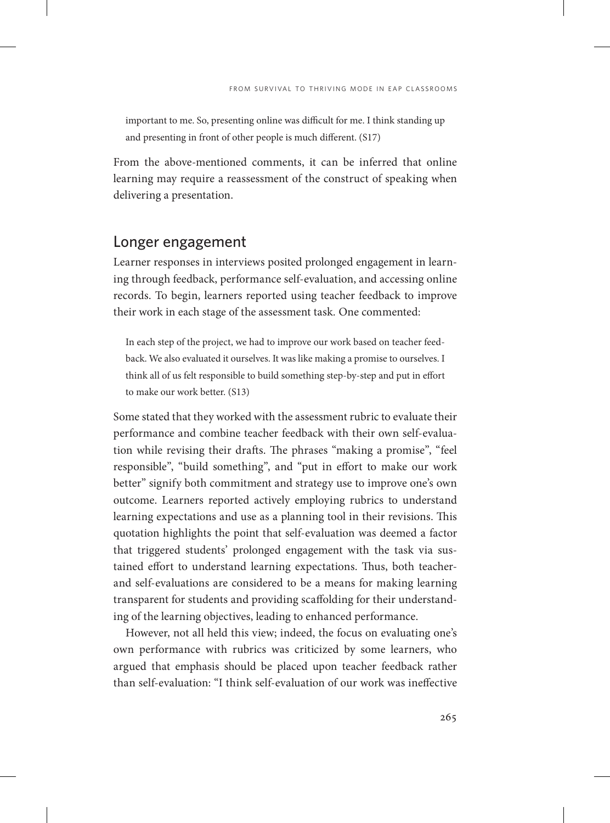important to me. So, presenting online was difficult for me. I think standing up and presenting in front of other people is much different. (S17)

From the above-mentioned comments, it can be inferred that online learning may require a reassessment of the construct of speaking when delivering a presentation.

#### Longer engagement

Learner responses in interviews posited prolonged engagement in learning through feedback, performance self-evaluation, and accessing online records. To begin, learners reported using teacher feedback to improve their work in each stage of the assessment task*.* One commented:

In each step of the project, we had to improve our work based on teacher feedback. We also evaluated it ourselves. It was like making a promise to ourselves. I think all of us felt responsible to build something step-by-step and put in effort to make our work better. (S13)

Some stated that they worked with the assessment rubric to evaluate their performance and combine teacher feedback with their own self-evaluation while revising their drafts. The phrases "making a promise", "feel responsible", "build something", and "put in effort to make our work better" signify both commitment and strategy use to improve one's own outcome. Learners reported actively employing rubrics to understand learning expectations and use as a planning tool in their revisions. This quotation highlights the point that self-evaluation was deemed a factor that triggered students' prolonged engagement with the task via sustained effort to understand learning expectations. Thus, both teacherand self-evaluations are considered to be a means for making learning transparent for students and providing scaffolding for their understanding of the learning objectives, leading to enhanced performance.

However, not all held this view; indeed, the focus on evaluating one's own performance with rubrics was criticized by some learners, who argued that emphasis should be placed upon teacher feedback rather than self-evaluation: "I think self-evaluation of our work was ineffective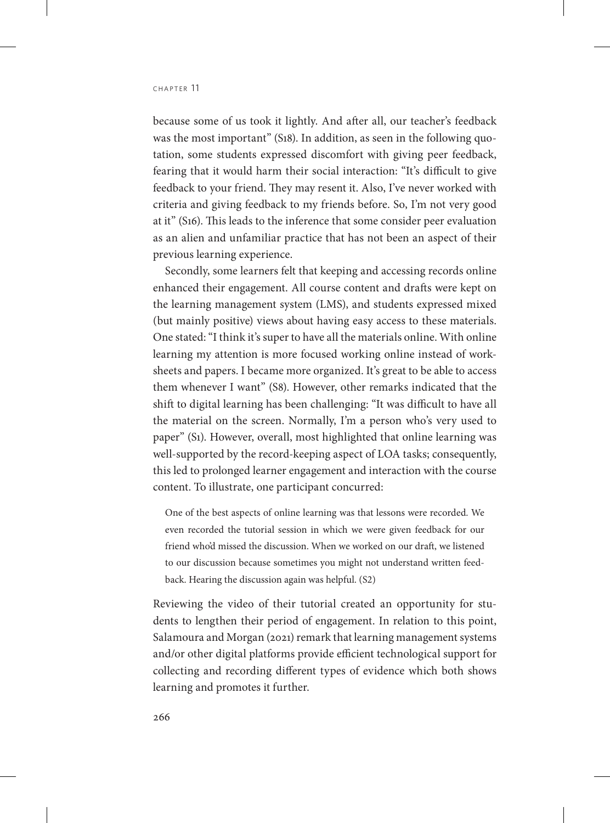because some of us took it lightly. And after all, our teacher's feedback was the most important" (S18). In addition, as seen in the following quotation, some students expressed discomfort with giving peer feedback, fearing that it would harm their social interaction: "It's difficult to give feedback to your friend. They may resent it. Also, I've never worked with criteria and giving feedback to my friends before. So, I'm not very good at it" (S16). This leads to the inference that some consider peer evaluation as an alien and unfamiliar practice that has not been an aspect of their previous learning experience.

Secondly, some learners felt that keeping and accessing records online enhanced their engagement. All course content and drafts were kept on the learning management system (LMS), and students expressed mixed (but mainly positive) views about having easy access to these materials. One stated: "I think it's super to have all the materials online. With online learning my attention is more focused working online instead of worksheets and papers. I became more organized. It's great to be able to access them whenever I want" (S8). However, other remarks indicated that the shift to digital learning has been challenging: "It was difficult to have all the material on the screen. Normally, I'm a person who's very used to paper" (S1). However, overall, most highlighted that online learning was well-supported by the record-keeping aspect of LOA tasks; consequently, this led to prolonged learner engagement and interaction with the course content. To illustrate, one participant concurred:

One of the best aspects of online learning was that lessons were recorded. We even recorded the tutorial session in which we were given feedback for our friend who'd missed the discussion. When we worked on our draft, we listened to our discussion because sometimes you might not understand written feedback. Hearing the discussion again was helpful. (S2)

Reviewing the video of their tutorial created an opportunity for students to lengthen their period of engagement. In relation to this point, Salamoura and Morgan (2021) remark that learning management systems and/or other digital platforms provide efficient technological support for collecting and recording different types of evidence which both shows learning and promotes it further.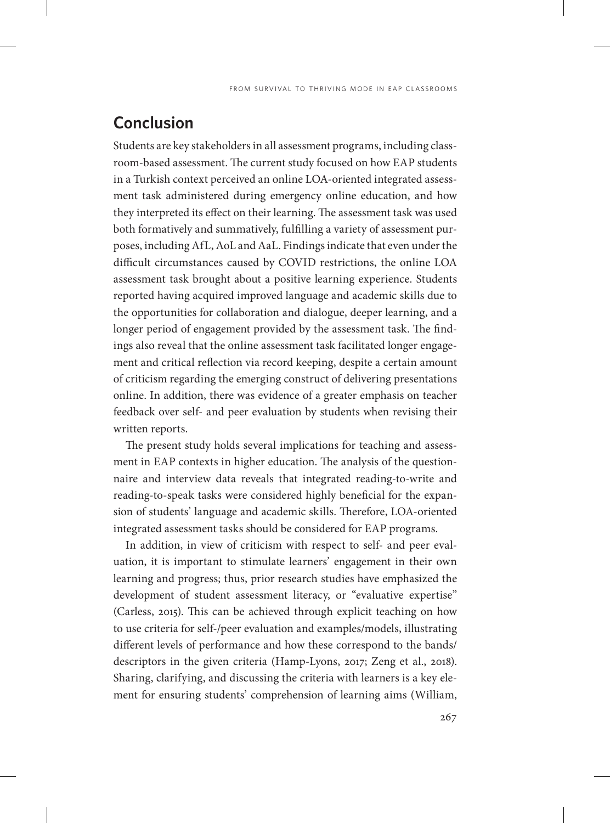# **Conclusion**

Students are key stakeholders in all assessment programs, including classroom-based assessment. The current study focused on how EAP students in a Turkish context perceived an online LOA-oriented integrated assessment task administered during emergency online education, and how they interpreted its effect on their learning. The assessment task was used both formatively and summatively, fulfilling a variety of assessment purposes, including AfL, AoL and AaL. Findings indicate that even under the difficult circumstances caused by COVID restrictions, the online LOA assessment task brought about a positive learning experience. Students reported having acquired improved language and academic skills due to the opportunities for collaboration and dialogue, deeper learning, and a longer period of engagement provided by the assessment task. The findings also reveal that the online assessment task facilitated longer engagement and critical reflection via record keeping, despite a certain amount of criticism regarding the emerging construct of delivering presentations online. In addition, there was evidence of a greater emphasis on teacher feedback over self- and peer evaluation by students when revising their written reports.

The present study holds several implications for teaching and assessment in EAP contexts in higher education. The analysis of the questionnaire and interview data reveals that integrated reading-to-write and reading-to-speak tasks were considered highly beneficial for the expansion of students' language and academic skills. Therefore, LOA-oriented integrated assessment tasks should be considered for EAP programs.

In addition, in view of criticism with respect to self- and peer evaluation, it is important to stimulate learners' engagement in their own learning and progress; thus, prior research studies have emphasized the development of student assessment literacy, or "evaluative expertise" (Carless, 2015). This can be achieved through explicit teaching on how to use criteria for self-/peer evaluation and examples/models, illustrating different levels of performance and how these correspond to the bands/ descriptors in the given criteria (Hamp-Lyons, 2017; Zeng et al., 2018). Sharing, clarifying, and discussing the criteria with learners is a key element for ensuring students' comprehension of learning aims (William,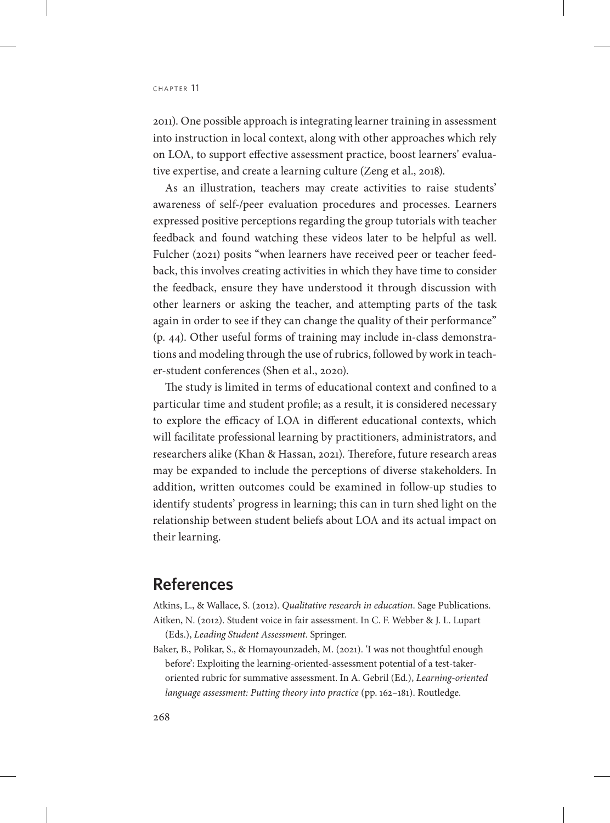2011). One possible approach is integrating learner training in assessment into instruction in local context, along with other approaches which rely on LOA, to support effective assessment practice, boost learners' evaluative expertise, and create a learning culture (Zeng et al., 2018).

As an illustration, teachers may create activities to raise students' awareness of self-/peer evaluation procedures and processes. Learners expressed positive perceptions regarding the group tutorials with teacher feedback and found watching these videos later to be helpful as well. Fulcher (2021) posits "when learners have received peer or teacher feedback, this involves creating activities in which they have time to consider the feedback, ensure they have understood it through discussion with other learners or asking the teacher, and attempting parts of the task again in order to see if they can change the quality of their performance" (p. 44). Other useful forms of training may include in-class demonstrations and modeling through the use of rubrics, followed by work in teacher-student conferences (Shen et al., 2020).

The study is limited in terms of educational context and confined to a particular time and student profile; as a result, it is considered necessary to explore the efficacy of LOA in different educational contexts, which will facilitate professional learning by practitioners, administrators, and researchers alike (Khan & Hassan, 2021). Therefore, future research areas may be expanded to include the perceptions of diverse stakeholders. In addition, written outcomes could be examined in follow-up studies to identify students' progress in learning; this can in turn shed light on the relationship between student beliefs about LOA and its actual impact on their learning.

#### **References**

Atkins, L., & Wallace, S. (2012). *Qualitative research in education*. Sage Publications. Aitken, N. (2012). Student voice in fair assessment. In C. F. Webber & J. L. Lupart (Eds.), *Leading Student Assessment*. Springer.

Baker, B., Polikar, S., & Homayounzadeh, M. (2021). 'I was not thoughtful enough before': Exploiting the learning-oriented-assessment potential of a test-takeroriented rubric for summative assessment. In A. Gebril (Ed.), *Learning-oriented language assessment: Putting theory into practice* (pp. 162–181). Routledge.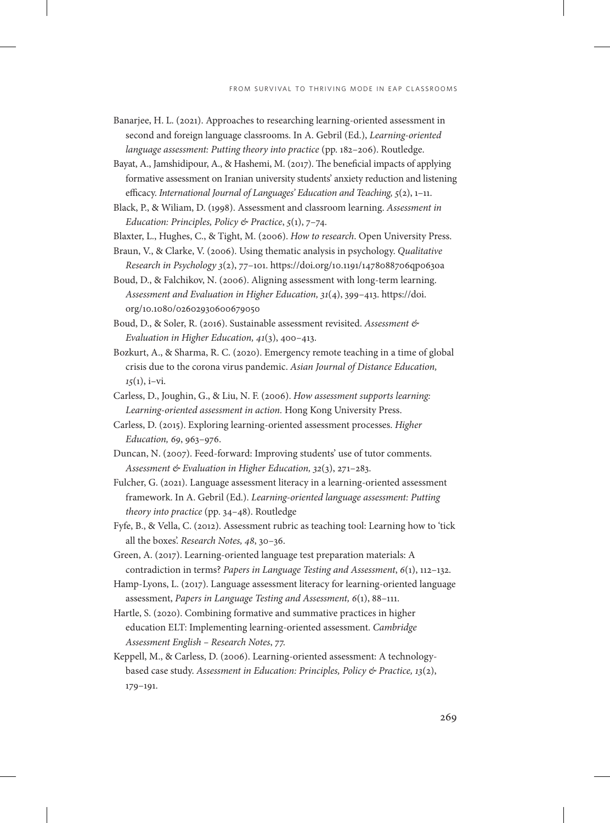- Banarjee, H. L. (2021). Approaches to researching learning-oriented assessment in second and foreign language classrooms. In A. Gebril (Ed.), *Learning-oriented language assessment: Putting theory into practice* (pp. 182–206). Routledge.
- Bayat, A., Jamshidipour, A., & Hashemi, M. (2017). The beneficial impacts of applying formative assessment on Iranian university students' anxiety reduction and listening efficacy. *International Journal of Languages' Education and Teaching, 5*(2), 1–11.

Black, P., & Wiliam, D. (1998). Assessment and classroom learning. *Assessment in Education: Principles, Policy & Practice*, *5*(1), 7–74.

Blaxter, L., Hughes, C., & Tight, M. (2006). *How to research*. Open University Press.

Braun, V., & Clarke, V. (2006). Using thematic analysis in psychology. *Qualitative Research in Psychology 3*(2), 77–101. <https://doi.org/10.1191/1478088706qp063oa>

Boud, D., & Falchikov, N. (2006). Aligning assessment with long‐term learning. *Assessment and Evaluation in Higher Education, 31*(4), 399–413. [https://doi.](https://doi.org/10.1080/02602930600679050) [org/10.1080/02602930600679050](https://doi.org/10.1080/02602930600679050)

Boud, D., & Soler, R. (2016). Sustainable assessment revisited. *Assessment & Evaluation in Higher Education, 41*(3), 400–413.

- Bozkurt, A., & Sharma, R. C. (2020). Emergency remote teaching in a time of global crisis due to the corona virus pandemic. *Asian Journal of Distance Education, 15*(1), i–vi.
- Carless, D., Joughin, G., & Liu, N. F. (2006). *How assessment supports learning: Learning-oriented assessment in action.* Hong Kong University Press.
- Carless, D. (2015). Exploring learning-oriented assessment processes. *Higher Education, 69*, 963–976.
- Duncan, N. (2007). Feed-forward: Improving students' use of tutor comments. *Assessment & Evaluation in Higher Education, 32*(3), 271–283.
- Fulcher, G. (2021). Language assessment literacy in a learning-oriented assessment framework. In A. Gebril (Ed.). *Learning-oriented language assessment: Putting theory into practice* (pp. 34–48). Routledge
- Fyfe, B., & Vella, C. (2012). Assessment rubric as teaching tool: Learning how to 'tick all the boxes'. *Research Notes, 48*, 30–36.

Green, A. (2017). Learning-oriented language test preparation materials: A contradiction in terms? *Papers in Language Testing and Assessment*, *6*(1), 112–132.

- Hamp-Lyons, L. (2017). Language assessment literacy for learning-oriented language assessment, *Papers in Language Testing and Assessment, 6*(1), 88–111.
- Hartle, S. (2020). Combining formative and summative practices in higher education ELT: Implementing learning-oriented assessment. *Cambridge Assessment English – Research Notes*, 77.
- Keppell, M., & Carless, D. (2006). Learning‐oriented assessment: A technology‐ based case study. *Assessment in Education: Principles, Policy & Practice, 13*(2), 179–191.